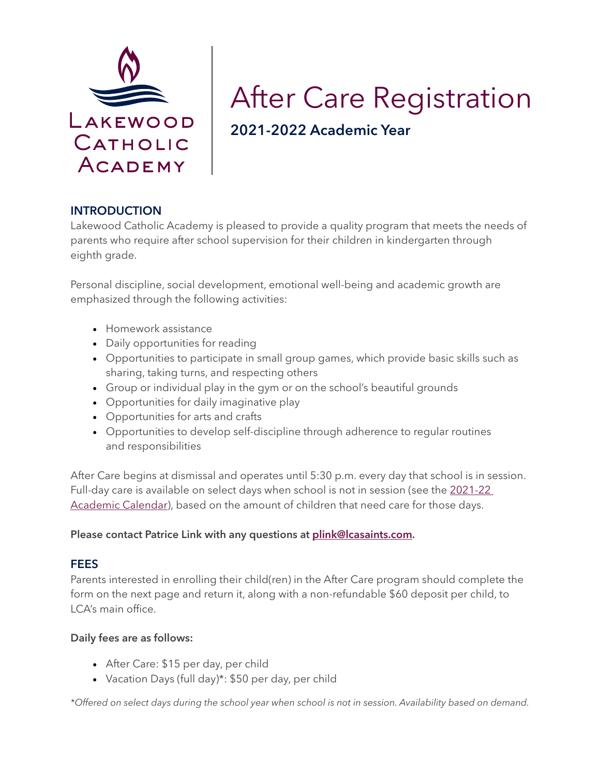

# After Care Registration 2021-2022 Academic Year

### INTRODUCTION

Lakewood Catholic Academy is pleased to provide a quality program that meets the needs of parents who require after school supervision for their children in kindergarten through eighth grade.

Personal discipline, social development, emotional well-being and academic growth are emphasized through the following activities:

- Homework assistance
- Daily opportunities for reading
- Opportunities to participate in small group games, which provide basic skills such as sharing, taking turns, and respecting others
- Group or individual play in the gym or on the school's beautiful grounds
- Opportunities for daily imaginative play
- Opportunities for arts and crafts
- Opportunities to develop self-discipline through adherence to regular routines and responsibilities

After Care begins at dismissal and operates until 5:30 p.m. every day that school is in session. Full-day care is available on select days when school is not in session (see the 2021-22 [Academic Calendar\)](https://lakewoodcatholicacademy.com/for-parents/), based on the amount of children that need care for those days.

#### Please contact Patrice Link with any questions at [plink@lcasaints.com.](mailto:plink%40lcasaints.com?subject=LCA%20After%20Care%20Inquiry)

### FEES

Parents interested in enrolling their child(ren) in the After Care program should complete the form on the next page and return it, along with a non-refundable \$60 deposit per child, to LCA's main office.

#### Daily fees are as follows:

- After Care: \$15 per day, per child
- Vacation Days (full day)\*: \$50 per day, per child

*\*Offered on select days during the school year when school is not in session. Availability based on demand.*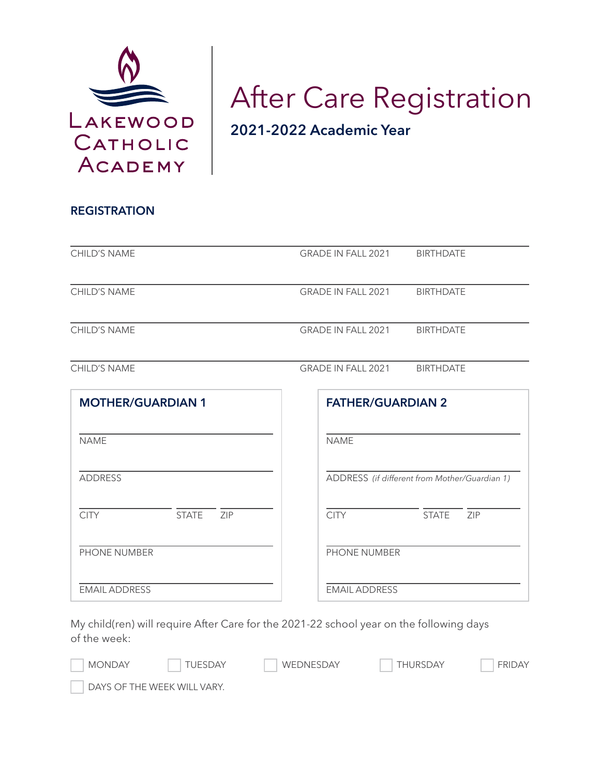

# After Care Registration 2021-2022 Academic Year

| <b>CHILD'S NAME</b>                | <b>GRADE IN FALL 2021</b><br><b>BIRTHDATE</b> |
|------------------------------------|-----------------------------------------------|
| <b>CHILD'S NAME</b>                | <b>GRADE IN FALL 2021</b><br><b>BIRTHDATE</b> |
| <b>CHILD'S NAME</b>                | GRADE IN FALL 2021<br><b>BIRTHDATE</b>        |
| <b>CHILD'S NAME</b>                | <b>BIRTHDATE</b><br><b>GRADE IN FALL 2021</b> |
| <b>MOTHER/GUARDIAN 1</b>           | <b>FATHER/GUARDIAN 2</b>                      |
| <b>NAME</b>                        | <b>NAME</b>                                   |
| <b>ADDRESS</b>                     | ADDRESS (if different from Mother/Guardian 1) |
| <b>CITY</b><br><b>STATE</b><br>ZIP | <b>CITY</b><br><b>STATE</b><br>ZIP            |
| <b>PHONE NUMBER</b>                | PHONE NUMBER                                  |

EMAIL ADDRESS

My child(ren) will require After Care for the 2021-22 school year on the following days of the week:

| <b>MONDAY</b> | <b>TUESDAY</b>              | WEDNESDAY | THURSDAY | <b>FRIDAY</b> |
|---------------|-----------------------------|-----------|----------|---------------|
|               | DAYS OF THE WEEK WILL VARY. |           |          |               |

EMAIL ADDRESS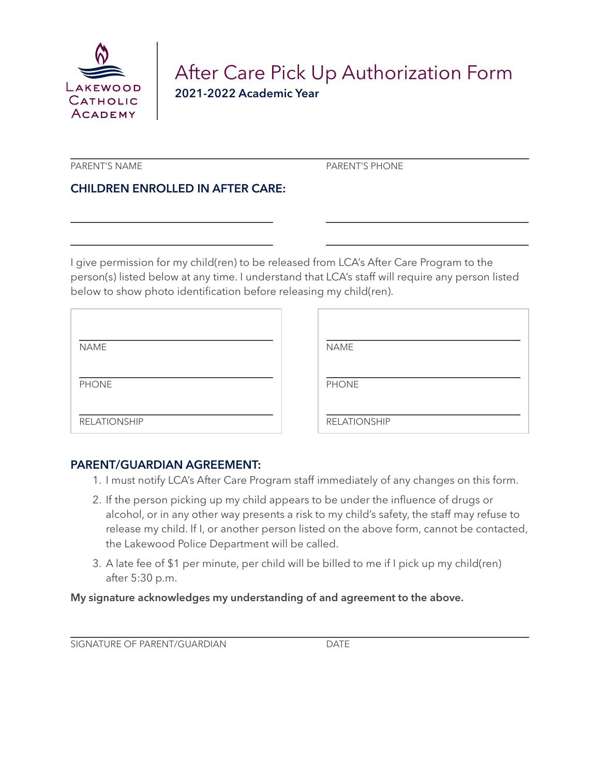

# After Care Pick Up Authorization Form 2021-2022 Academic Year

PARENT'S NAME PARENT'S PHONE

# CHILDREN ENROLLED IN AFTER CARE:

I give permission for my child(ren) to be released from LCA's After Care Program to the person(s) listed below at any time. I understand that LCA's staff will require any person listed below to show photo identification before releasing my child(ren).

| <b>NAME</b>         | <b>NAME</b>         |
|---------------------|---------------------|
| <b>PHONE</b>        | <b>PHONE</b>        |
| <b>RELATIONSHIP</b> | <b>RELATIONSHIP</b> |

### PARENT/GUARDIAN AGREEMENT:

- 1. I must notify LCA's After Care Program staff immediately of any changes on this form.
- 2. If the person picking up my child appears to be under the influence of drugs or alcohol, or in any other way presents a risk to my child's safety, the staff may refuse to release my child. If I, or another person listed on the above form, cannot be contacted, the Lakewood Police Department will be called.
- 3. A late fee of \$1 per minute, per child will be billed to me if I pick up my child(ren) after 5:30 p.m.

#### My signature acknowledges my understanding of and agreement to the above.

SIGNATURE OF PARENT/GUARDIAN DATE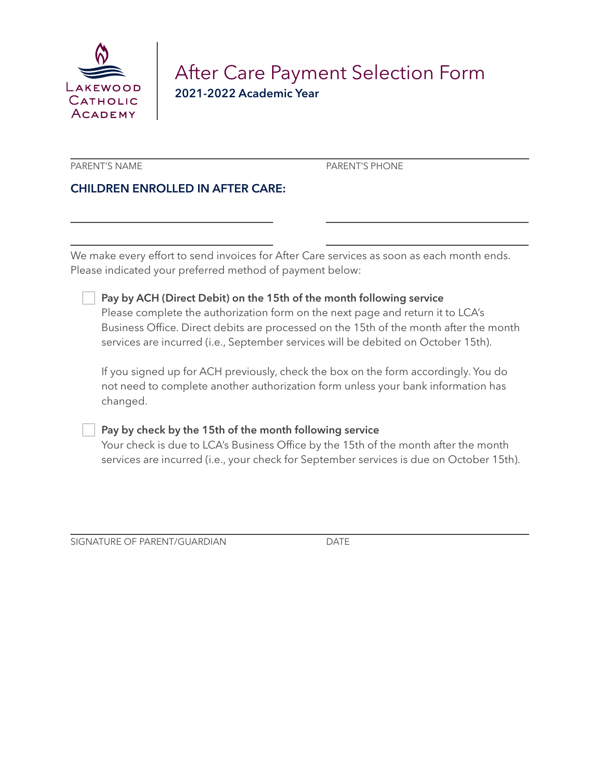

# After Care Payment Selection Form 2021-2022 Academic Year

PARENT'S NAME PARENT'S PHONE

# CHILDREN ENROLLED IN AFTER CARE:

We make every effort to send invoices for After Care services as soon as each month ends. Please indicated your preferred method of payment below:

| $\Box$ Pay by ACH (Direct Debit) on the 15th of the month following service |  |
|-----------------------------------------------------------------------------|--|
|-----------------------------------------------------------------------------|--|

Please complete the authorization form on the next page and return it to LCA's Business Office. Direct debits are processed on the 15th of the month after the month services are incurred (i.e., September services will be debited on October 15th).

If you signed up for ACH previously, check the box on the form accordingly. You do not need to complete another authorization form unless your bank information has changed.

#### Pay by check by the 15th of the month following service

Your check is due to LCA's Business Office by the 15th of the month after the month services are incurred (i.e., your check for September services is due on October 15th).

SIGNATURE OF PARENT/GUARDIAN DATE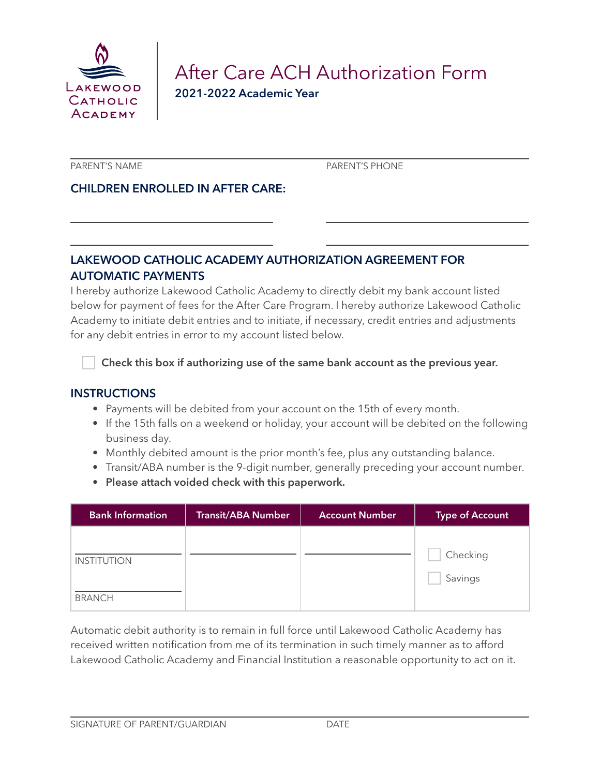

# After Care ACH Authorization Form 2021-2022 Academic Year

PARENT'S NAME PARENT'S PHONE

## CHILDREN ENROLLED IN AFTER CARE:

## LAKEWOOD CATHOLIC ACADEMY AUTHORIZATION AGREEMENT FOR AUTOMATIC PAYMENTS

I hereby authorize Lakewood Catholic Academy to directly debit my bank account listed below for payment of fees for the After Care Program. I hereby authorize Lakewood Catholic Academy to initiate debit entries and to initiate, if necessary, credit entries and adjustments for any debit entries in error to my account listed below.

Check this box if authorizing use of the same bank account as the previous year.

#### **INSTRUCTIONS**

- Payments will be debited from your account on the 15th of every month.
- If the 15th falls on a weekend or holiday, your account will be debited on the following business day.
- Monthly debited amount is the prior month's fee, plus any outstanding balance.
- Transit/ABA number is the 9-digit number, generally preceding your account number.
- Please attach voided check with this paperwork.

| <b>Bank Information</b> | <b>Transit/ABA Number</b> | <b>Account Number</b> | <b>Type of Account</b> |
|-------------------------|---------------------------|-----------------------|------------------------|
|                         |                           |                       |                        |
| <b>INSTITUTION</b>      |                           |                       | Checking               |
|                         |                           |                       | Savings                |
| <b>BRANCH</b>           |                           |                       |                        |

Automatic debit authority is to remain in full force until Lakewood Catholic Academy has received written notification from me of its termination in such timely manner as to afford Lakewood Catholic Academy and Financial Institution a reasonable opportunity to act on it.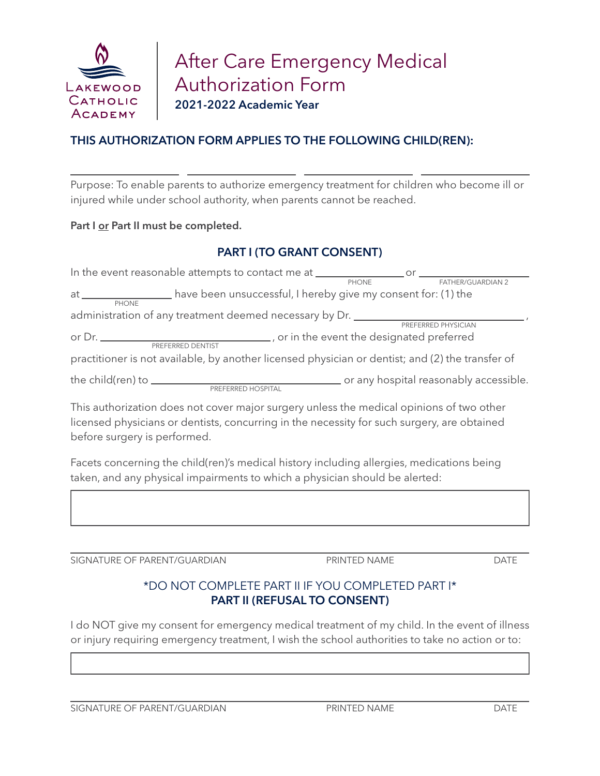

# THIS AUTHORIZATION FORM APPLIES TO THE FOLLOWING CHILD(REN):

Purpose: To enable parents to authorize emergency treatment for children who become ill or injured while under school authority, when parents cannot be reached.

#### Part I or Part II must be completed.

### PART I (TO GRANT CONSENT)

| In the event reasonable attempts to contact me at ______________________________                                                                                                                                                               |                                                               | $\mathsf{or}$ and $\mathsf{or}$ and $\mathsf{or}$ are $\mathsf{or}$ and $\mathsf{or}$ are $\mathsf{or}$ and $\mathsf{or}$ are $\mathsf{or}$ and $\mathsf{or}$ are $\mathsf{or}$ and $\mathsf{or}$ are $\mathsf{or}$ and $\mathsf{or}$ are $\mathsf{or}$ and $\mathsf{or}$ and $\mathsf{or}$ are $\mathsf{or}$ and |
|------------------------------------------------------------------------------------------------------------------------------------------------------------------------------------------------------------------------------------------------|---------------------------------------------------------------|-------------------------------------------------------------------------------------------------------------------------------------------------------------------------------------------------------------------------------------------------------------------------------------------------------------------|
|                                                                                                                                                                                                                                                | PHONE                                                         | FATHER/GUARDIAN 2                                                                                                                                                                                                                                                                                                 |
| at the contract of the contract of the contract of the contract of the contract of the contract of the contract of the contract of the contract of the contract of the contract of the contract of the contract of the contrac<br><b>PHONE</b> | have been unsuccessful, I hereby give my consent for: (1) the |                                                                                                                                                                                                                                                                                                                   |
| administration of any treatment deemed necessary by Dr.                                                                                                                                                                                        |                                                               |                                                                                                                                                                                                                                                                                                                   |
|                                                                                                                                                                                                                                                |                                                               | PREFERRED PHYSICIAN                                                                                                                                                                                                                                                                                               |
| PREFERRED DENTIST                                                                                                                                                                                                                              |                                                               | ., or in the event the designated preferred                                                                                                                                                                                                                                                                       |
| practitioner is not available, by another licensed physician or dentist; and (2) the transfer of                                                                                                                                               |                                                               |                                                                                                                                                                                                                                                                                                                   |
| PREFERRED HOSPITAL                                                                                                                                                                                                                             |                                                               | or any hospital reasonably accessible.                                                                                                                                                                                                                                                                            |

This authorization does not cover major surgery unless the medical opinions of two other licensed physicians or dentists, concurring in the necessity for such surgery, are obtained before surgery is performed.

Facets concerning the child(ren)'s medical history including allergies, medications being taken, and any physical impairments to which a physician should be alerted:

SIGNATURE OF PARENT/GUARDIAN PRINTED NAME DATE

# \*DO NOT COMPLETE PART II IF YOU COMPLETED PART I\* PART II (REFUSAL TO CONSENT)

I do NOT give my consent for emergency medical treatment of my child. In the event of illness or injury requiring emergency treatment, I wish the school authorities to take no action or to:

SIGNATURE OF PARENT/GUARDIAN PRINTED NAME PRINTED NAME